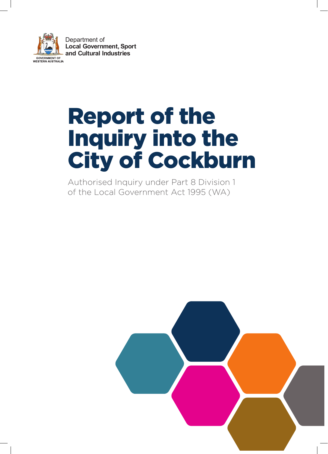

# Report of the Inquiry into the City of Cockburn

Authorised Inquiry under Part 8 Division 1 of the Local Government Act 1995 (WA)

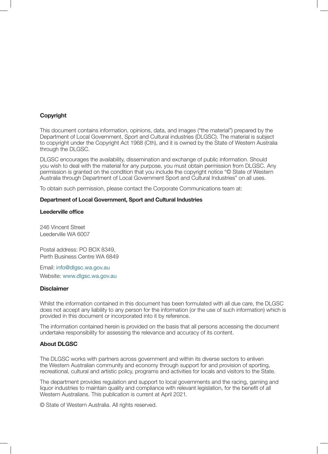#### Copyright

This document contains information, opinions, data, and images ("the material") prepared by the Department of Local Government, Sport and Cultural industries (DLGSC). The material is subject to copyright under the Copyright Act 1968 (Cth), and it is owned by the State of Western Australia through the DLGSC.

DLGSC encourages the availability, dissemination and exchange of public information. Should you wish to deal with the material for any purpose, you must obtain permission from DLGSC. Any permission is granted on the condition that you include the copyright notice "© State of Western Australia through Department of Local Government Sport and Cultural Industries" on all uses.

To obtain such permission, please contact the Corporate Communications team at:

#### Department of Local Government, Sport and Cultural Industries

#### Leederville office

246 Vincent Street Leederville WA 6007

Postal address: PO BOX 8349, Perth Business Centre WA 6849

Email: info@dlgsc.wa.gov.au Website: www.dlgsc.wa.gov.au

#### **Disclaimer**

Whilst the information contained in this document has been formulated with all due care, the DLGSC does not accept any liability to any person for the information (or the use of such information) which is provided in this document or incorporated into it by reference.

The information contained herein is provided on the basis that all persons accessing the document undertake responsibility for assessing the relevance and accuracy of its content.

#### About DLGSC

The DLGSC works with partners across government and within its diverse sectors to enliven the Western Australian community and economy through support for and provision of sporting, recreational, cultural and artistic policy, programs and activities for locals and visitors to the State.

The department provides regulation and support to local governments and the racing, gaming and liquor industries to maintain quality and compliance with relevant legislation, for the benefit of all Western Australians. This publication is current at April 2021.

© State of Western Australia. All rights reserved.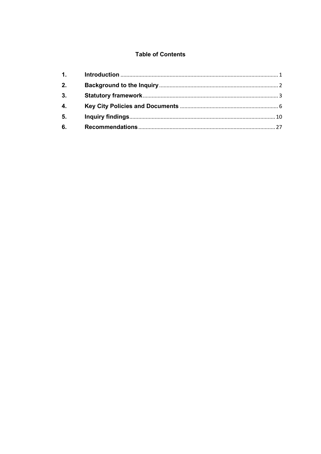# **Table of Contents**

| 1. |  |
|----|--|
| 2. |  |
| 3. |  |
| 4. |  |
| 5. |  |
| 6. |  |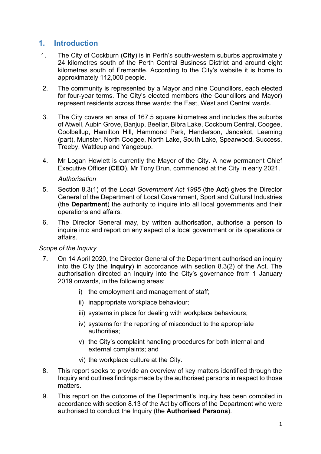# <span id="page-3-0"></span>**1. Introduction**

- 1. The City of Cockburn (**City**) is in Perth's south-western suburbs approximately 24 kilometres south of the Perth Central Business District and around eight kilometres south of Fremantle. According to the City's website it is home to approximately 112,000 people.
- 2. The community is represented by a Mayor and nine Councillors, each elected for four-year terms. The City's elected members (the Councillors and Mayor) represent residents across three wards: the East, West and Central wards.
- 3. The City covers an area of 167.5 square kilometres and includes the suburbs of Atwell, Aubin Grove, Banjup, Beeliar, Bibra Lake, Cockburn Central, Coogee, Coolbellup, Hamilton Hill, Hammond Park, Henderson, Jandakot, Leeming (part), Munster, North Coogee, North Lake, South Lake, Spearwood, Success, Treeby, Wattleup and Yangebup.
- 4. Mr Logan Howlett is currently the Mayor of the City. A new permanent Chief Executive Officer (**CEO**), Mr Tony Brun, commenced at the City in early 2021. *Authorisation*
- 5. Section 8.3(1) of the *Local Government Act 1995* (the **Act**) gives the Director General of the Department of Local Government, Sport and Cultural Industries (the **Department**) the authority to inquire into all local governments and their operations and affairs.
- 6. The Director General may, by written authorisation, authorise a person to inquire into and report on any aspect of a local government or its operations or affairs.

## *Scope of the Inquiry*

- 7. On 14 April 2020, the Director General of the Department authorised an inquiry into the City (the **Inquiry**) in accordance with section 8.3(2) of the Act. The authorisation directed an Inquiry into the City's governance from 1 January 2019 onwards, in the following areas:
	- i) the employment and management of staff;
	- ii) inappropriate workplace behaviour;
	- iii) systems in place for dealing with workplace behaviours;
	- iv) systems for the reporting of misconduct to the appropriate authorities;
	- v) the City's complaint handling procedures for both internal and external complaints; and
	- vi) the workplace culture at the City.
- 8. This report seeks to provide an overview of key matters identified through the Inquiry and outlines findings made by the authorised persons in respect to those matters.
- 9. This report on the outcome of the Department's Inquiry has been compiled in accordance with section 8.13 of the Act by officers of the Department who were authorised to conduct the Inquiry (the **Authorised Persons**).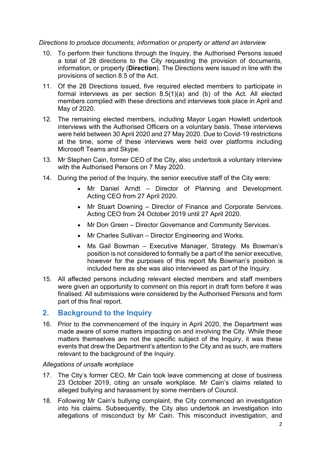*Directions to produce documents, information or property or attend an interview*

- 10. To perform their functions through the Inquiry, the Authorised Persons issued a total of 28 directions to the City requesting the provision of documents, information, or property (**Direction**). The Directions were issued in line with the provisions of section 8.5 of the Act.
- 11. Of the 28 Directions issued, five required elected members to participate in formal interviews as per section 8.5(1)(a) and (b) of the Act. All elected members complied with these directions and interviews took place in April and May of 2020.
- 12. The remaining elected members, including Mayor Logan Howlett undertook interviews with the Authorised Officers on a voluntary basis. These interviews were held between 30 April 2020 and 27 May 2020. Due to Covid-19 restrictions at the time, some of these interviews were held over platforms including Microsoft Teams and Skype.
- 13. Mr Stephen Cain, former CEO of the City, also undertook a voluntary interview with the Authorised Persons on 7 May 2020.
- 14. During the period of the Inquiry, the senior executive staff of the City were:
	- Mr Daniel Arndt Director of Planning and Development. Acting CEO from 27 April 2020.
	- Mr Stuart Downing Director of Finance and Corporate Services. Acting CEO from 24 October 2019 until 27 April 2020.
	- Mr Don Green Director Governance and Community Services.
	- Mr Charles Sullivan Director Engineering and Works.
	- Ms Gail Bowman Executive Manager, Strategy. Ms Bowman's position is not considered to formally be a part of the senior executive, however for the purposes of this report Ms Bowman's position is included here as she was also interviewed as part of the Inquiry.
- 15. All affected persons including relevant elected members and staff members were given an opportunity to comment on this report in draft form before it was finalised. All submissions were considered by the Authorised Persons and form part of this final report.

## <span id="page-4-0"></span>**2. Background to the Inquiry**

16. Prior to the commencement of the Inquiry in April 2020, the Department was made aware of some matters impacting on and involving the City. While these matters themselves are not the specific subject of the Inquiry, it was these events that drew the Department's attention to the City and as such, are matters relevant to the background of the Inquiry.

#### *Allegations of unsafe workplace*

- 17. The City's former CEO, Mr Cain took leave commencing at close of business 23 October 2019, citing an unsafe workplace. Mr Cain's claims related to alleged bullying and harassment by some members of Council.
- 18. Following Mr Cain's bullying complaint, the City commenced an investigation into his claims. Subsequently, the City also undertook an investigation into allegations of misconduct by Mr Cain. This misconduct investigation, and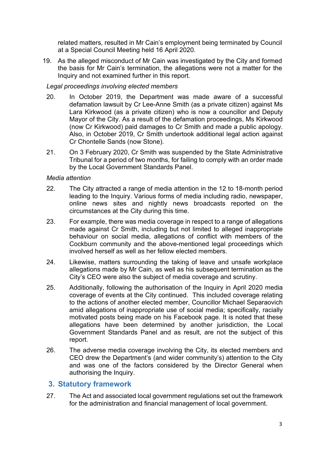related matters, resulted in Mr Cain's employment being terminated by Council at a Special Council Meeting held 16 April 2020.

19. As the alleged misconduct of Mr Cain was investigated by the City and formed the basis for Mr Cain's termination, the allegations were not a matter for the Inquiry and not examined further in this report.

## *Legal proceedings involving elected members*

- 20. In October 2019, the Department was made aware of a successful defamation lawsuit by Cr Lee-Anne Smith (as a private citizen) against Ms Lara Kirkwood (as a private citizen) who is now a councillor and Deputy Mayor of the City. As a result of the defamation proceedings, Ms Kirkwood (now Cr Kirkwood) paid damages to Cr Smith and made a public apology. Also, in October 2019, Cr Smith undertook additional legal action against Cr Chontelle Sands (now Stone).
- 21. On 3 February 2020, Cr Smith was suspended by the State Administrative Tribunal for a period of two months, for failing to comply with an order made by the Local Government Standards Panel.

### *Media attention*

- 22. The City attracted a range of media attention in the 12 to 18-month period leading to the Inquiry. Various forms of media including radio, newspaper, online news sites and nightly news broadcasts reported on the circumstances at the City during this time.
- 23. For example, there was media coverage in respect to a range of allegations made against Cr Smith, including but not limited to alleged inappropriate behaviour on social media, allegations of conflict with members of the Cockburn community and the above-mentioned legal proceedings which involved herself as well as her fellow elected members.
- 24. Likewise, matters surrounding the taking of leave and unsafe workplace allegations made by Mr Cain, as well as his subsequent termination as the City's CEO were also the subject of media coverage and scrutiny.
- 25. Additionally, following the authorisation of the Inquiry in April 2020 media coverage of events at the City continued. This included coverage relating to the actions of another elected member, Councillor Michael Separaovich amid allegations of inappropriate use of social media; specifically, racially motivated posts being made on his Facebook page. It is noted that these allegations have been determined by another jurisdiction, the Local Government Standards Panel and as result, are not the subject of this report.
- 26. The adverse media coverage involving the City, its elected members and CEO drew the Department's (and wider community's) attention to the City and was one of the factors considered by the Director General when authorising the Inquiry.

# <span id="page-5-0"></span>**3. Statutory framework**

27. The Act and associated local government regulations set out the framework for the administration and financial management of local government.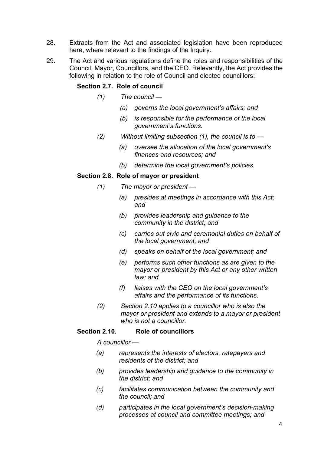- 28. Extracts from the Act and associated legislation have been reproduced here, where relevant to the findings of the Inquiry.
- 29. The Act and various regulations define the roles and responsibilities of the Council, Mayor, Councillors, and the CEO. Relevantly, the Act provides the following in relation to the role of Council and elected councillors:

#### **Section 2.7. Role of council**

- *(1) The council —*
	- *(a) governs the local government's affairs; and*
	- *(b) is responsible for the performance of the local government's functions.*
- *(2) Without limiting subsection (1), the council is to —*
	- *(a) oversee the allocation of the local government's finances and resources; and*
	- *(b) determine the local government's policies.*

### **Section 2.8. Role of mayor or president**

- *(1) The mayor or president —*
	- *(a) presides at meetings in accordance with this Act; and*
	- *(b) provides leadership and guidance to the community in the district; and*
	- *(c) carries out civic and ceremonial duties on behalf of the local government; and*
	- *(d) speaks on behalf of the local government; and*
	- *(e) performs such other functions as are given to the mayor or president by this Act or any other written law; and*
	- *(f) liaises with the CEO on the local government's affairs and the performance of its functions.*
- *(2) Section 2.10 applies to a councillor who is also the mayor or president and extends to a mayor or president who is not a councillor.*

#### **Section 2.10. Role of councillors**

*A councillor —*

- *(a) represents the interests of electors, ratepayers and residents of the district; and*
- *(b) provides leadership and guidance to the community in the district; and*
- *(c) facilitates communication between the community and the council; and*
- *(d) participates in the local government's decision-making processes at council and committee meetings; and*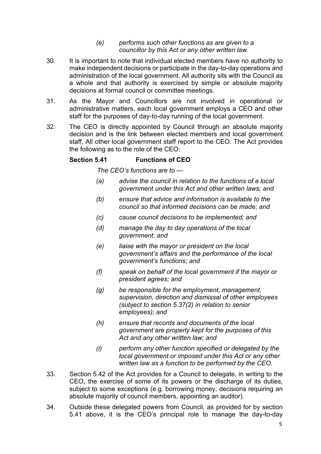#### *(e) performs such other functions as are given to a councillor by this Act or any other written law.*

- 30. It is important to note that individual elected members have no authority to make independent decisions or participate in the day-to-day operations and administration of the local government. All authority sits with the Council as a whole and that authority is exercised by simple or absolute majority decisions at formal council or committee meetings.
- 31. As the Mayor and Councillors are not involved in operational or administrative matters, each local government employs a CEO and other staff for the purposes of day-to-day running of the local government.
- 32. The CEO is directly appointed by Council through an absolute majority decision and is the link between elected members and local government staff. All other local government staff report to the CEO. The Act provides the following as to the role of the CEO:

### **Section 5.41 Functions of CEO**

*The CEO's functions are to —*

- *(a) advise the council in relation to the functions of a local government under this Act and other written laws; and*
- *(b) ensure that advice and information is available to the council so that informed decisions can be made; and*
- *(c) cause council decisions to be implemented; and*
- *(d) manage the day to day operations of the local government; and*
- *(e) liaise with the mayor or president on the local government's affairs and the performance of the local government's functions; and*
- *(f) speak on behalf of the local government if the mayor or president agrees; and*
- *(g) be responsible for the employment, management, supervision, direction and dismissal of other employees (subject to section 5.37(2) in relation to senior employees); and*
- *(h) ensure that records and documents of the local government are properly kept for the purposes of this Act and any other written law; and*
- *(i) perform any other function specified or delegated by the local government or imposed under this Act or any other written law as a function to be performed by the CEO.*
- 33. Section 5.42 of the Act provides for a Council to delegate, in writing to the CEO, the exercise of some of its powers or the discharge of its duties, subject to some exceptions (e.g. borrowing money, decisions requiring an absolute majority of council members, appointing an auditor).
- 34. Outside these delegated powers from Council, as provided for by section 5.41 above, it is the CEO's principal role to manage the day-to-day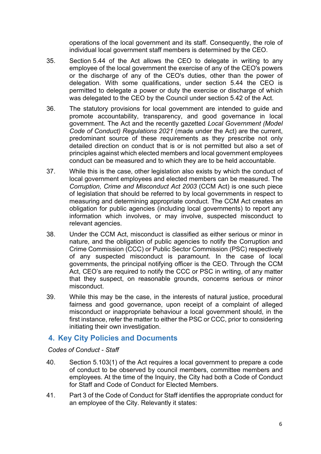operations of the local government and its staff. Consequently, the role of individual local government staff members is determined by the CEO.

- 35. Section 5.44 of the Act allows the CEO to delegate in writing to any employee of the local government the exercise of any of the CEO's powers or the discharge of any of the CEO's duties, other than the power of delegation. With some qualifications, under section 5.44 the CEO is permitted to delegate a power or duty the exercise or discharge of which was delegated to the CEO by the Council under section 5.42 of the Act.
- 36. The statutory provisions for local government are intended to guide and promote accountability, transparency, and good governance in local government. The Act and the recently gazetted *Local Government (Model Code of Conduct) Regulations 2021* (made under the Act) are the current, predominant source of these requirements as they prescribe not only detailed direction on conduct that is or is not permitted but also a set of principles against which elected members and local government employees conduct can be measured and to which they are to be held accountable.
- 37. While this is the case, other legislation also exists by which the conduct of local government employees and elected members can be measured. The *Corruption, Crime and Misconduct Act 2003* (CCM Act) is one such piece of legislation that should be referred to by local governments in respect to measuring and determining appropriate conduct. The CCM Act creates an obligation for public agencies (including local governments) to report any information which involves, or may involve, suspected misconduct to relevant agencies.
- 38. Under the CCM Act, misconduct is classified as either serious or minor in nature, and the obligation of public agencies to notify the Corruption and Crime Commission (CCC) or Public Sector Commission (PSC) respectively of any suspected misconduct is paramount. In the case of local governments, the principal notifying officer is the CEO. Through the CCM Act, CEO's are required to notify the CCC or PSC in writing, of any matter that they suspect, on reasonable grounds, concerns serious or minor misconduct.
- 39. While this may be the case, in the interests of natural justice, procedural fairness and good governance, upon receipt of a complaint of alleged misconduct or inappropriate behaviour a local government should, in the first instance, refer the matter to either the PSC or CCC, prior to considering initiating their own investigation.

# <span id="page-8-0"></span>**4. Key City Policies and Documents**

## *Codes of Conduct - Staff*

- 40. Section 5.103(1) of the Act requires a local government to prepare a code of conduct to be observed by council members, committee members and employees. At the time of the Inquiry, the City had both a Code of Conduct for Staff and Code of Conduct for Elected Members.
- 41. Part 3 of the Code of Conduct for Staff identifies the appropriate conduct for an employee of the City. Relevantly it states: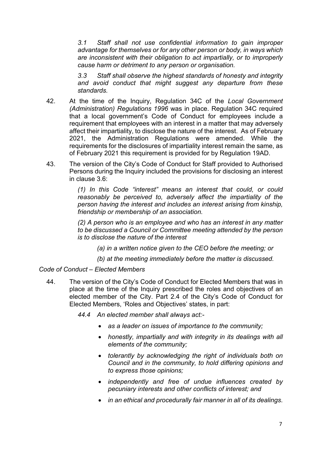*3.1 Staff shall not use confidential information to gain improper advantage for themselves or for any other person or body, in ways which are inconsistent with their obligation to act impartially, or to improperly cause harm or detriment to any person or organisation.*

*3.3 Staff shall observe the highest standards of honesty and integrity and avoid conduct that might suggest any departure from these standards.*

- 42. At the time of the Inquiry, Regulation 34C of the *Local Government (Administration) Regulations 1996* was in place. Regulation 34C required that a local government's Code of Conduct for employees include a requirement that employees with an interest in a matter that may adversely affect their impartiality, to disclose the nature of the interest. As of February 2021, the Administration Regulations were amended. While the requirements for the disclosures of impartiality interest remain the same, as of February 2021 this requirement is provided for by Regulation 19AD.
- 43. The version of the City's Code of Conduct for Staff provided to Authorised Persons during the Inquiry included the provisions for disclosing an interest in clause 3.6:

*(1) In this Code "interest" means an interest that could, or could reasonably be perceived to, adversely affect the impartiality of the person having the interest and includes an interest arising from kinship, friendship or membership of an association.*

*(2) A person who is an employee and who has an interest in any matter to be discussed a Council or Committee meeting attended by the person is to disclose the nature of the interest*

- *(a) in a written notice given to the CEO before the meeting; or*
- *(b) at the meeting immediately before the matter is discussed.*

#### *Code of Conduct – Elected Members*

44. The version of the City's Code of Conduct for Elected Members that was in place at the time of the Inquiry prescribed the roles and objectives of an elected member of the City. Part 2.4 of the City's Code of Conduct for Elected Members, 'Roles and Objectives' states, in part:

*44.4 An elected member shall always act:-*

- *as a leader on issues of importance to the community;*
- *honestly, impartially and with integrity in its dealings with all elements of the community;*
- *tolerantly by acknowledging the right of individuals both on Council and in the community, to hold differing opinions and to express those opinions;*
- *independently and free of undue influences created by pecuniary interests and other conflicts of interest; and*
- *in an ethical and procedurally fair manner in all of its dealings*.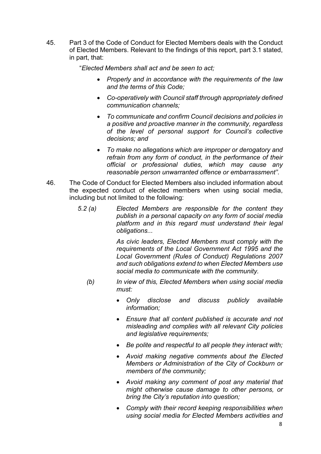45. Part 3 of the Code of Conduct for Elected Members deals with the Conduct of Elected Members. Relevant to the findings of this report, part 3.1 stated, in part, that:

"*Elected Members shall act and be seen to act;*

- *Properly and in accordance with the requirements of the law and the terms of this Code;*
- *Co-operatively with Council staff through appropriately defined communication channels;*
- *To communicate and confirm Council decisions and policies in a positive and proactive manner in the community, regardless of the level of personal support for Council's collective decisions; and*
- *To make no allegations which are improper or derogatory and refrain from any form of conduct, in the performance of their official or professional duties, which may cause any reasonable person unwarranted offence or embarrassment"*.
- 46. The Code of Conduct for Elected Members also included information about the expected conduct of elected members when using social media, including but not limited to the following:
	- *5.2 (a) Elected Members are responsible for the content they publish in a personal capacity on any form of social media platform and in this regard must understand their legal obligations...*

*As civic leaders, Elected Members must comply with the requirements of the Local Government Act 1995 and the Local Government (Rules of Conduct) Regulations 2007 and such obligations extend to when Elected Members use social media to communicate with the community.*

- *(b) In view of this, Elected Members when using social media must:*
	- *Only disclose and discuss publicly available information;*
	- *Ensure that all content published is accurate and not misleading and complies with all relevant City policies and legislative requirements;*
	- *Be polite and respectful to all people they interact with;*
	- *Avoid making negative comments about the Elected Members or Administration of the City of Cockburn or members of the community;*
	- *Avoid making any comment of post any material that might otherwise cause damage to other persons, or bring the City's reputation into question;*
	- *Comply with their record keeping responsibilities when using social media for Elected Members activities and*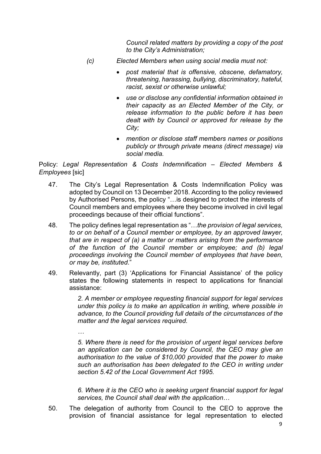*Council related matters by providing a copy of the post to the City's Administration;*

- *(c) Elected Members when using social media must not:*
	- *post material that is offensive, obscene, defamatory, threatening, harassing, bullying, discriminatory, hateful, racist, sexist or otherwise unlawful;*
	- *use or disclose any confidential information obtained in their capacity as an Elected Member of the City, or release information to the public before it has been dealt with by Council or approved for release by the City;*
	- *mention or disclose staff members names or positions publicly or through private means (direct message) via social media.*

Policy: *Legal Representation & Costs Indemnification – Elected Members & Employees* [sic]

- 47. The City's Legal Representation & Costs Indemnification Policy was adopted by Council on 13 December 2018. According to the policy reviewed by Authorised Persons, the policy "…is designed to protect the interests of Council members and employees where they become involved in civil legal proceedings because of their official functions".
- 48. The policy defines legal representation as "…*the provision of legal services, to or on behalf of a Council member or employee, by an approved lawyer, that are in respect of (a) a matter or matters arising from the performance of the function of the Council member or employee; and (b) legal proceedings involving the Council member of employees that have been, or may be, instituted*."
- 49. Relevantly, part (3) 'Applications for Financial Assistance' of the policy states the following statements in respect to applications for financial assistance:

*2. A member or employee requesting financial support for legal services under this policy is to make an application in writing, where possible in advance, to the Council providing full details of the circumstances of the matter and the legal services required.*

*… 5. Where there is need for the provision of urgent legal services before an application can be considered by Council, the CEO may give an authorisation to the value of \$10,000 provided that the power to make such an authorisation has been delegated to the CEO in writing under section 5.42 of the Local Government Act 1995.*

*6. Where it is the CEO who is seeking urgent financial support for legal services, the Council shall deal with the application*…

50. The delegation of authority from Council to the CEO to approve the provision of financial assistance for legal representation to elected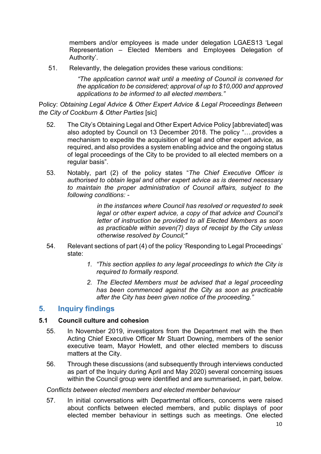members and/or employees is made under delegation LGAES13 'Legal Representation – Elected Members and Employees Delegation of Authority'.

51. Relevantly, the delegation provides these various conditions:

*"The application cannot wait until a meeting of Council is convened for the application to be considered; approval of up to \$10,000 and approved applications to be informed to all elected members."*

Policy: *Obtaining Legal Advice & Other Expert Advice & Legal Proceedings Between the City of Cockburn & Other Parties* [sic]

- 52. The City's Obtaining Legal and Other Expert Advice Policy [abbreviated] was also adopted by Council on 13 December 2018. The policy "….provides a mechanism to expedite the acquisition of legal and other expert advice, as required, and also provides a system enabling advice and the ongoing status of legal proceedings of the City to be provided to all elected members on a regular basis".
- 53. Notably, part (2) of the policy states "*The Chief Executive Officer is authorised to obtain legal and other expert advice as is deemed necessary to maintain the proper administration of Council affairs, subject to the following conditions: -*

*in the instances where Council has resolved or requested to seek legal or other expert advice, a copy of that advice and Council's letter of instruction be provided to all Elected Members as soon as practicable within seven(7) days of receipt by the City unless otherwise resolved by Council;"*

- 54. Relevant sections of part (4) of the policy 'Responding to Legal Proceedings' state:
	- *1. "This section applies to any legal proceedings to which the City is required to formally respond.*
	- *2. The Elected Members must be advised that a legal proceeding has been commenced against the City as soon as practicable after the City has been given notice of the proceeding."*

# <span id="page-12-0"></span>**5. Inquiry findings**

#### **5.1 Council culture and cohesion**

- 55. In November 2019, investigators from the Department met with the then Acting Chief Executive Officer Mr Stuart Downing, members of the senior executive team, Mayor Howlett, and other elected members to discuss matters at the City.
- 56. Through these discussions (and subsequently through interviews conducted as part of the Inquiry during April and May 2020) several concerning issues within the Council group were identified and are summarised, in part, below.

#### *Conflicts between elected members and elected member behaviour*

57. In initial conversations with Departmental officers, concerns were raised about conflicts between elected members, and public displays of poor elected member behaviour in settings such as meetings. One elected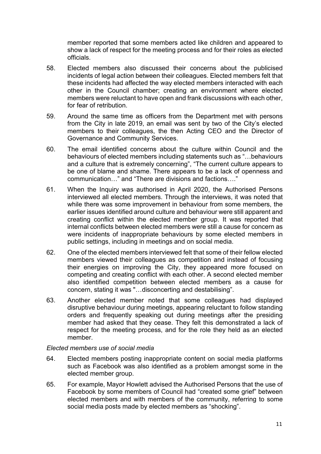member reported that some members acted like children and appeared to show a lack of respect for the meeting process and for their roles as elected officials.

- 58. Elected members also discussed their concerns about the publicised incidents of legal action between their colleagues. Elected members felt that these incidents had affected the way elected members interacted with each other in the Council chamber; creating an environment where elected members were reluctant to have open and frank discussions with each other, for fear of retribution.
- 59. Around the same time as officers from the Department met with persons from the City in late 2019, an email was sent by two of the City's elected members to their colleagues, the then Acting CEO and the Director of Governance and Community Services.
- 60. The email identified concerns about the culture within Council and the behaviours of elected members including statements such as "…behaviours and a culture that is extremely concerning", "The current culture appears to be one of blame and shame. There appears to be a lack of openness and communication…" and "There are divisions and factions…."
- 61. When the Inquiry was authorised in April 2020, the Authorised Persons interviewed all elected members. Through the interviews, it was noted that while there was some improvement in behaviour from some members, the earlier issues identified around culture and behaviour were still apparent and creating conflict within the elected member group. It was reported that internal conflicts between elected members were still a cause for concern as were incidents of inappropriate behaviours by some elected members in public settings, including in meetings and on social media.
- 62. One of the elected members interviewed felt that some of their fellow elected members viewed their colleagues as competition and instead of focusing their energies on improving the City, they appeared more focused on competing and creating conflict with each other. A second elected member also identified competition between elected members as a cause for concern, stating it was "…disconcerting and destabilising".
- 63. Another elected member noted that some colleagues had displayed disruptive behaviour during meetings, appearing reluctant to follow standing orders and frequently speaking out during meetings after the presiding member had asked that they cease. They felt this demonstrated a lack of respect for the meeting process, and for the role they held as an elected member.

#### *Elected members use of social media*

- 64. Elected members posting inappropriate content on social media platforms such as Facebook was also identified as a problem amongst some in the elected member group.
- 65. For example, Mayor Howlett advised the Authorised Persons that the use of Facebook by some members of Council had "created some grief" between elected members and with members of the community, referring to some social media posts made by elected members as "shocking".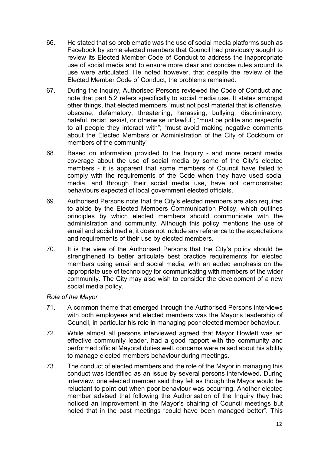- 66. He stated that so problematic was the use of social media platforms such as Facebook by some elected members that Council had previously sought to review its Elected Member Code of Conduct to address the inappropriate use of social media and to ensure more clear and concise rules around its use were articulated. He noted however, that despite the review of the Elected Member Code of Conduct, the problems remained.
- 67. During the Inquiry, Authorised Persons reviewed the Code of Conduct and note that part 5.2 refers specifically to social media use. It states amongst other things, that elected members "must not post material that is offensive, obscene, defamatory, threatening, harassing, bullying, discriminatory, hateful, racist, sexist, or otherwise unlawful"; "must be polite and respectful to all people they interact with"; "must avoid making negative comments about the Elected Members or Administration of the City of Cockburn or members of the community"
- 68. Based on information provided to the Inquiry and more recent media coverage about the use of social media by some of the City's elected members - it is apparent that some members of Council have failed to comply with the requirements of the Code when they have used social media, and through their social media use, have not demonstrated behaviours expected of local government elected officials.
- 69. Authorised Persons note that the City's elected members are also required to abide by the Elected Members Communication Policy, which outlines principles by which elected members should communicate with the administration and community. Although this policy mentions the use of email and social media, it does not include any reference to the expectations and requirements of their use by elected members.
- 70. It is the view of the Authorised Persons that the City's policy should be strengthened to better articulate best practice requirements for elected members using email and social media, with an added emphasis on the appropriate use of technology for communicating with members of the wider community. The City may also wish to consider the development of a new social media policy.

#### *Role of the Mayor*

- 71. A common theme that emerged through the Authorised Persons interviews with both employees and elected members was the Mayor's leadership of Council, in particular his role in managing poor elected member behaviour.
- 72. While almost all persons interviewed agreed that Mayor Howlett was an effective community leader, had a good rapport with the community and performed official Mayoral duties well, concerns were raised about his ability to manage elected members behaviour during meetings.
- 73. The conduct of elected members and the role of the Mayor in managing this conduct was identified as an issue by several persons interviewed. During interview, one elected member said they felt as though the Mayor would be reluctant to point out when poor behaviour was occurring. Another elected member advised that following the Authorisation of the Inquiry they had noticed an improvement in the Mayor's chairing of Council meetings but noted that in the past meetings "could have been managed better". This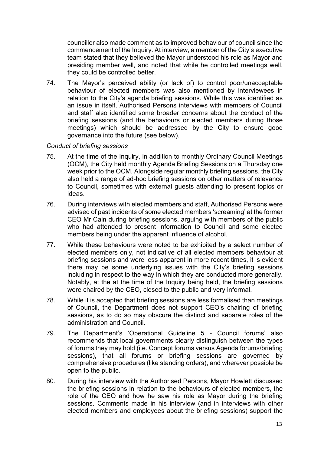councillor also made comment as to improved behaviour of council since the commencement of the Inquiry. At interview, a member of the City's executive team stated that they believed the Mayor understood his role as Mayor and presiding member well, and noted that while he controlled meetings well, they could be controlled better.

74. The Mayor's perceived ability (or lack of) to control poor/unacceptable behaviour of elected members was also mentioned by interviewees in relation to the City's agenda briefing sessions. While this was identified as an issue in itself, Authorised Persons interviews with members of Council and staff also identified some broader concerns about the conduct of the briefing sessions (and the behaviours or elected members during those meetings) which should be addressed by the City to ensure good governance into the future (see below).

### *Conduct of briefing sessions*

- 75. At the time of the Inquiry, in addition to monthly Ordinary Council Meetings (OCM), the City held monthly Agenda Briefing Sessions on a Thursday one week prior to the OCM. Alongside regular monthly briefing sessions, the City also held a range of ad-hoc briefing sessions on other matters of relevance to Council, sometimes with external guests attending to present topics or ideas.
- 76. During interviews with elected members and staff, Authorised Persons were advised of past incidents of some elected members 'screaming' at the former CEO Mr Cain during briefing sessions, arguing with members of the public who had attended to present information to Council and some elected members being under the apparent influence of alcohol.
- 77. While these behaviours were noted to be exhibited by a select number of elected members only, not indicative of all elected members behaviour at briefing sessions and were less apparent in more recent times, it is evident there may be some underlying issues with the City's briefing sessions including in respect to the way in which they are conducted more generally. Notably, at the at the time of the Inquiry being held, the briefing sessions were chaired by the CEO, closed to the public and very informal.
- 78. While it is accepted that briefing sessions are less formalised than meetings of Council, the Department does not support CEO's chairing of briefing sessions, as to do so may obscure the distinct and separate roles of the administration and Council.
- 79. The Department's 'Operational Guideline 5 Council forums' also recommends that local governments clearly distinguish between the types of forums they may hold (i.e. Concept forums versus Agenda forums/briefing sessions), that all forums or briefing sessions are governed by comprehensive procedures (like standing orders), and wherever possible be open to the public.
- 80. During his interview with the Authorised Persons, Mayor Howlett discussed the briefing sessions in relation to the behaviours of elected members, the role of the CEO and how he saw his role as Mayor during the briefing sessions. Comments made in his interview (and in interviews with other elected members and employees about the briefing sessions) support the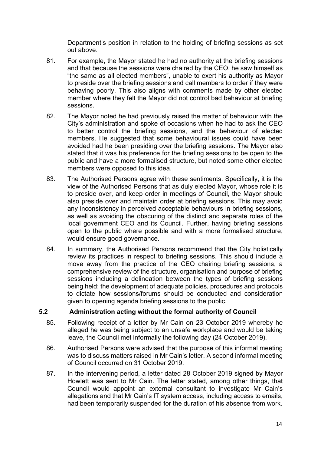Department's position in relation to the holding of briefing sessions as set out above.

- 81. For example, the Mayor stated he had no authority at the briefing sessions and that because the sessions were chaired by the CEO, he saw himself as "the same as all elected members", unable to exert his authority as Mayor to preside over the briefing sessions and call members to order if they were behaving poorly. This also aligns with comments made by other elected member where they felt the Mayor did not control bad behaviour at briefing sessions.
- 82. The Mayor noted he had previously raised the matter of behaviour with the City's administration and spoke of occasions when he had to ask the CEO to better control the briefing sessions, and the behaviour of elected members. He suggested that some behavioural issues could have been avoided had he been presiding over the briefing sessions. The Mayor also stated that it was his preference for the briefing sessions to be open to the public and have a more formalised structure, but noted some other elected members were opposed to this idea.
- 83. The Authorised Persons agree with these sentiments. Specifically, it is the view of the Authorised Persons that as duly elected Mayor, whose role it is to preside over, and keep order in meetings of Council, the Mayor should also preside over and maintain order at briefing sessions. This may avoid any inconsistency in perceived acceptable behaviours in briefing sessions, as well as avoiding the obscuring of the distinct and separate roles of the local government CEO and its Council. Further, having briefing sessions open to the public where possible and with a more formalised structure, would ensure good governance.
- 84. In summary, the Authorised Persons recommend that the City holistically review its practices in respect to briefing sessions. This should include a move away from the practice of the CEO chairing briefing sessions, a comprehensive review of the structure, organisation and purpose of briefing sessions including a delineation between the types of briefing sessions being held; the development of adequate policies, procedures and protocols to dictate how sessions/forums should be conducted and consideration given to opening agenda briefing sessions to the public.

#### **5.2 Administration acting without the formal authority of Council**

- 85. Following receipt of a letter by Mr Cain on 23 October 2019 whereby he alleged he was being subject to an unsafe workplace and would be taking leave, the Council met informally the following day (24 October 2019).
- 86. Authorised Persons were advised that the purpose of this informal meeting was to discuss matters raised in Mr Cain's letter. A second informal meeting of Council occurred on 31 October 2019.
- 87. In the intervening period, a letter dated 28 October 2019 signed by Mayor Howlett was sent to Mr Cain. The letter stated, among other things, that Council would appoint an external consultant to investigate Mr Cain's allegations and that Mr Cain's IT system access, including access to emails, had been temporarily suspended for the duration of his absence from work.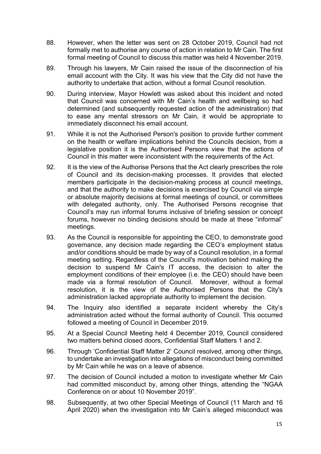- 88. However, when the letter was sent on 28 October 2019, Council had not formally met to authorise any course of action in relation to Mr Cain. The first formal meeting of Council to discuss this matter was held 4 November 2019.
- 89. Through his lawyers, Mr Cain raised the issue of the disconnection of his email account with the City. It was his view that the City did not have the authority to undertake that action, without a formal Council resolution.
- 90. During interview, Mayor Howlett was asked about this incident and noted that Council was concerned with Mr Cain's health and wellbeing so had determined (and subsequently requested action of the administration) that to ease any mental stressors on Mr Cain, it would be appropriate to immediately disconnect his email account.
- 91. While it is not the Authorised Person's position to provide further comment on the health or welfare implications behind the Councils decision, from a legislative position it is the Authorised Persons view that the actions of Council in this matter were inconsistent with the requirements of the Act.
- 92. It is the view of the Authorise Persons that the Act clearly prescribes the role of Council and its decision-making processes. It provides that elected members participate in the decision-making process at council meetings, and that the authority to make decisions is exercised by Council via simple or absolute majority decisions at formal meetings of council, or committees with delegated authority, only. The Authorised Persons recognise that Council's may run informal forums inclusive of briefing session or concept forums, however no binding decisions should be made at these "informal" meetings.
- 93. As the Council is responsible for appointing the CEO, to demonstrate good governance, any decision made regarding the CEO's employment status and/or conditions should be made by way of a Council resolution, in a formal meeting setting. Regardless of the Council's motivation behind making the decision to suspend Mr Cain's IT access, the decision to alter the employment conditions of their employee (i.e. the CEO) should have been made via a formal resolution of Council. Moreover, without a formal resolution, it is the view of the Authorised Persons that the City's administration lacked appropriate authority to implement the decision.
- 94. The Inquiry also identified a separate incident whereby the City's administration acted without the formal authority of Council. This occurred followed a meeting of Council in December 2019.
- 95. At a Special Council Meeting held 4 December 2019, Council considered two matters behind closed doors, Confidential Staff Matters 1 and 2.
- 96. Through 'Confidential Staff Matter 2' Council resolved, among other things, to undertake an investigation into allegations of misconduct being committed by Mr Cain while he was on a leave of absence.
- 97. The decision of Council included a motion to investigate whether Mr Cain had committed misconduct by, among other things, attending the "NGAA Conference on or about 10 November 2019".
- 98. Subsequently, at two other Special Meetings of Council (11 March and 16 April 2020) when the investigation into Mr Cain's alleged misconduct was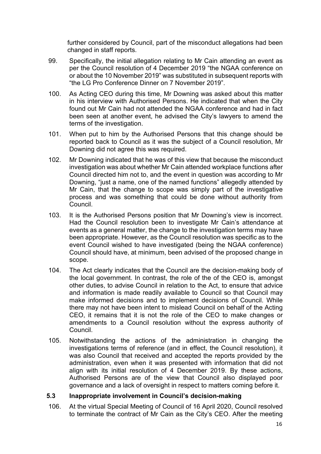further considered by Council, part of the misconduct allegations had been changed in staff reports.

- 99. Specifically, the initial allegation relating to Mr Cain attending an event as per the Council resolution of 4 December 2019 "the NGAA conference on or about the 10 November 2019" was substituted in subsequent reports with "the LG Pro Conference Dinner on 7 November 2019".
- 100. As Acting CEO during this time, Mr Downing was asked about this matter in his interview with Authorised Persons. He indicated that when the City found out Mr Cain had not attended the NGAA conference and had in fact been seen at another event, he advised the City's lawyers to amend the terms of the investigation.
- 101. When put to him by the Authorised Persons that this change should be reported back to Council as it was the subject of a Council resolution, Mr Downing did not agree this was required.
- 102. Mr Downing indicated that he was of this view that because the misconduct investigation was about whether Mr Cain attended workplace functions after Council directed him not to, and the event in question was according to Mr Downing, "just a name, one of the named functions" allegedly attended by Mr Cain, that the change to scope was simply part of the investigative process and was something that could be done without authority from Council.
- 103. It is the Authorised Persons position that Mr Downing's view is incorrect. Had the Council resolution been to investigate Mr Cain's attendance at events as a general matter, the change to the investigation terms may have been appropriate. However, as the Council resolution was specific as to the event Council wished to have investigated (being the NGAA conference) Council should have, at minimum, been advised of the proposed change in scope.
- 104. The Act clearly indicates that the Council are the decision-making body of the local government. In contrast, the role of the of the CEO is, amongst other duties, to advise Council in relation to the Act, to ensure that advice and information is made readily available to Council so that Council may make informed decisions and to implement decisions of Council. While there may not have been intent to mislead Council on behalf of the Acting CEO, it remains that it is not the role of the CEO to make changes or amendments to a Council resolution without the express authority of Council.
- 105. Notwithstanding the actions of the administration in changing the investigations terms of reference (and in effect, the Council resolution), it was also Council that received and accepted the reports provided by the administration, even when it was presented with information that did not align with its initial resolution of 4 December 2019. By these actions, Authorised Persons are of the view that Council also displayed poor governance and a lack of oversight in respect to matters coming before it.

#### **5.3 Inappropriate involvement in Council's decision-making**

106. At the virtual Special Meeting of Council of 16 April 2020, Council resolved to terminate the contract of Mr Cain as the City's CEO. After the meeting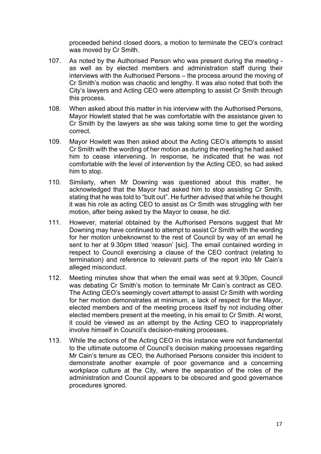proceeded behind closed doors, a motion to terminate the CEO's contract was moved by Cr Smith.

- 107. As noted by the Authorised Person who was present during the meeting as well as by elected members and administration staff during their interviews with the Authorised Persons – the process around the moving of Cr Smith's motion was chaotic and lengthy. It was also noted that both the City's lawyers and Acting CEO were attempting to assist Cr Smith through this process.
- 108. When asked about this matter in his interview with the Authorised Persons, Mayor Howlett stated that he was comfortable with the assistance given to Cr Smith by the lawyers as she was taking some time to get the wording correct.
- 109. Mayor Howlett was then asked about the Acting CEO's attempts to assist Cr Smith with the wording of her motion as during the meeting he had asked him to cease intervening. In response, he indicated that he was not comfortable with the level of intervention by the Acting CEO, so had asked him to stop.
- 110. Similarly, when Mr Downing was questioned about this matter, he acknowledged that the Mayor had asked him to stop assisting Cr Smith, stating that he was told to "butt out". He further advised that while he thought it was his role as acting CEO to assist as Cr Smith was struggling with her motion, after being asked by the Mayor to cease, he did.
- 111. However, material obtained by the Authorised Persons suggest that Mr Downing may have continued to attempt to assist Cr Smith with the wording for her motion unbeknownst to the rest of Council by way of an email he sent to her at 9.30pm titled 'reason' [sic]. The email contained wording in respect to Council exercising a clause of the CEO contract (relating to termination) and reference to relevant parts of the report into Mr Cain's alleged misconduct.
- 112. Meeting minutes show that when the email was sent at 9.30pm, Council was debating Cr Smith's motion to terminate Mr Cain's contract as CEO. The Acting CEO's seemingly covert attempt to assist Cr Smith with wording for her motion demonstrates at minimum, a lack of respect for the Mayor, elected members and of the meeting process itself by not including other elected members present at the meeting, in his email to Cr Smith. At worst, it could be viewed as an attempt by the Acting CEO to inappropriately involve himself in Council's decision-making processes.
- 113. While the actions of the Acting CEO in this instance were not fundamental to the ultimate outcome of Council's decision making processes regarding Mr Cain's tenure as CEO, the Authorised Persons consider this incident to demonstrate another example of poor governance and a concerning workplace culture at the City, where the separation of the roles of the administration and Council appears to be obscured and good governance procedures ignored.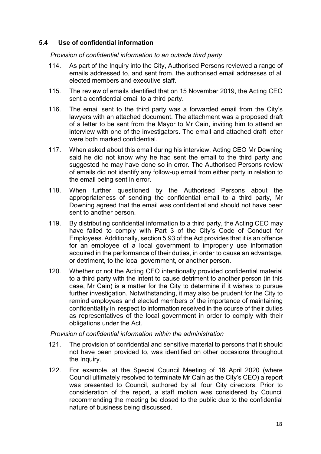### **5.4 Use of confidential information**

*Provision of confidential information to an outside third party*

- 114. As part of the Inquiry into the City, Authorised Persons reviewed a range of emails addressed to, and sent from, the authorised email addresses of all elected members and executive staff.
- 115. The review of emails identified that on 15 November 2019, the Acting CEO sent a confidential email to a third party.
- 116. The email sent to the third party was a forwarded email from the City's lawyers with an attached document. The attachment was a proposed draft of a letter to be sent from the Mayor to Mr Cain, inviting him to attend an interview with one of the investigators. The email and attached draft letter were both marked confidential.
- 117. When asked about this email during his interview, Acting CEO Mr Downing said he did not know why he had sent the email to the third party and suggested he may have done so in error. The Authorised Persons review of emails did not identify any follow-up email from either party in relation to the email being sent in error.
- 118. When further questioned by the Authorised Persons about the appropriateness of sending the confidential email to a third party, Mr Downing agreed that the email was confidential and should not have been sent to another person.
- 119. By distributing confidential information to a third party, the Acting CEO may have failed to comply with Part 3 of the City's Code of Conduct for Employees. Additionally, section 5.93 of the Act provides that it is an offence for an employee of a local government to improperly use information acquired in the performance of their duties, in order to cause an advantage, or detriment, to the local government, or another person.
- 120. Whether or not the Acting CEO intentionally provided confidential material to a third party with the intent to cause detriment to another person (in this case, Mr Cain) is a matter for the City to determine if it wishes to pursue further investigation. Notwithstanding, it may also be prudent for the City to remind employees and elected members of the importance of maintaining confidentiality in respect to information received in the course of their duties as representatives of the local government in order to comply with their obligations under the Act.

*Provision of confidential information within the administration*

- 121. The provision of confidential and sensitive material to persons that it should not have been provided to, was identified on other occasions throughout the Inquiry.
- 122. For example, at the Special Council Meeting of 16 April 2020 (where Council ultimately resolved to terminate Mr Cain as the City's CEO) a report was presented to Council, authored by all four City directors. Prior to consideration of the report, a staff motion was considered by Council recommending the meeting be closed to the public due to the confidential nature of business being discussed.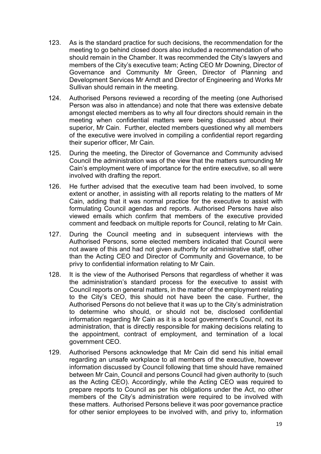- 123. As is the standard practice for such decisions, the recommendation for the meeting to go behind closed doors also included a recommendation of who should remain in the Chamber. It was recommended the City's lawyers and members of the City's executive team; Acting CEO Mr Downing, Director of Governance and Community Mr Green, Director of Planning and Development Services Mr Arndt and Director of Engineering and Works Mr Sullivan should remain in the meeting.
- 124. Authorised Persons reviewed a recording of the meeting (one Authorised Person was also in attendance) and note that there was extensive debate amongst elected members as to why all four directors should remain in the meeting when confidential matters were being discussed about their superior, Mr Cain. Further, elected members questioned why all members of the executive were involved in compiling a confidential report regarding their superior officer, Mr Cain.
- 125. During the meeting, the Director of Governance and Community advised Council the administration was of the view that the matters surrounding Mr Cain's employment were of importance for the entire executive, so all were involved with drafting the report.
- 126. He further advised that the executive team had been involved, to some extent or another, in assisting with all reports relating to the matters of Mr Cain, adding that it was normal practice for the executive to assist with formulating Council agendas and reports. Authorised Persons have also viewed emails which confirm that members of the executive provided comment and feedback on multiple reports for Council, relating to Mr Cain.
- 127. During the Council meeting and in subsequent interviews with the Authorised Persons, some elected members indicated that Council were not aware of this and had not given authority for administrative staff, other than the Acting CEO and Director of Community and Governance, to be privy to confidential information relating to Mr Cain.
- 128. It is the view of the Authorised Persons that regardless of whether it was the administration's standard process for the executive to assist with Council reports on general matters, in the matter of the employment relating to the City's CEO, this should not have been the case. Further, the Authorised Persons do not believe that it was up to the City's administration to determine who should, or should not be, disclosed confidential information regarding Mr Cain as it is a local government's Council, not its administration, that is directly responsible for making decisions relating to the appointment, contract of employment, and termination of a local government CEO.
- 129. Authorised Persons acknowledge that Mr Cain did send his initial email regarding an unsafe workplace to all members of the executive, however information discussed by Council following that time should have remained between Mr Cain, Council and persons Council had given authority to (such as the Acting CEO). Accordingly, while the Acting CEO was required to prepare reports to Council as per his obligations under the Act, no other members of the City's administration were required to be involved with these matters. Authorised Persons believe it was poor governance practice for other senior employees to be involved with, and privy to, information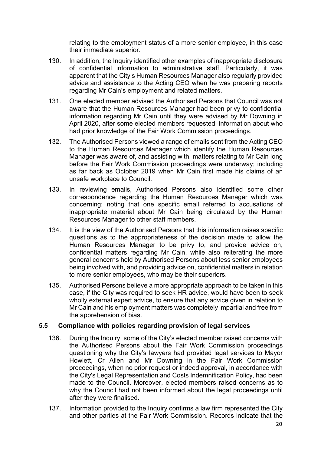relating to the employment status of a more senior employee, in this case their immediate superior.

- 130. In addition, the Inquiry identified other examples of inappropriate disclosure of confidential information to administrative staff. Particularly, it was apparent that the City's Human Resources Manager also regularly provided advice and assistance to the Acting CEO when he was preparing reports regarding Mr Cain's employment and related matters.
- 131. One elected member advised the Authorised Persons that Council was not aware that the Human Resources Manager had been privy to confidential information regarding Mr Cain until they were advised by Mr Downing in April 2020, after some elected members requested information about who had prior knowledge of the Fair Work Commission proceedings.
- 132. The Authorised Persons viewed a range of emails sent from the Acting CEO to the Human Resources Manager which identify the Human Resources Manager was aware of, and assisting with, matters relating to Mr Cain long before the Fair Work Commission proceedings were underway; including as far back as October 2019 when Mr Cain first made his claims of an unsafe workplace to Council.
- 133. In reviewing emails, Authorised Persons also identified some other correspondence regarding the Human Resources Manager which was concerning; noting that one specific email referred to accusations of inappropriate material about Mr Cain being circulated by the Human Resources Manager to other staff members.
- 134. It is the view of the Authorised Persons that this information raises specific questions as to the appropriateness of the decision made to allow the Human Resources Manager to be privy to, and provide advice on, confidential matters regarding Mr Cain, while also reiterating the more general concerns held by Authorised Persons about less senior employees being involved with, and providing advice on, confidential matters in relation to more senior employees, who may be their superiors.
- 135. Authorised Persons believe a more appropriate approach to be taken in this case, if the City was required to seek HR advice, would have been to seek wholly external expert advice, to ensure that any advice given in relation to Mr Cain and his employment matters was completely impartial and free from the apprehension of bias.

#### **5.5 Compliance with policies regarding provision of legal services**

- 136. During the Inquiry, some of the City's elected member raised concerns with the Authorised Persons about the Fair Work Commission proceedings questioning why the City's lawyers had provided legal services to Mayor Howlett, Cr Allen and Mr Downing in the Fair Work Commission proceedings, when no prior request or indeed approval, in accordance with the City's Legal Representation and Costs Indemnification Policy, had been made to the Council. Moreover, elected members raised concerns as to why the Council had not been informed about the legal proceedings until after they were finalised.
- 137. Information provided to the Inquiry confirms a law firm represented the City and other parties at the Fair Work Commission. Records indicate that the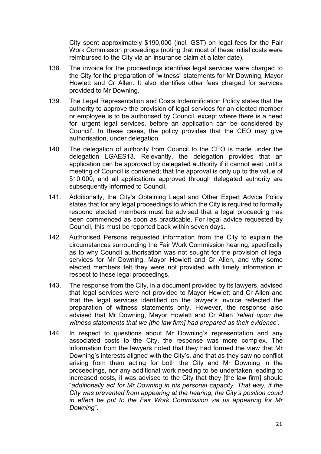City spent approximately \$190,000 (incl. GST) on legal fees for the Fair Work Commission proceedings (noting that most of these initial costs were reimbursed to the City via an insurance claim at a later date).

- 138. The invoice for the proceedings identifies legal services were charged to the City for the preparation of "witness" statements for Mr Downing, Mayor Howlett and Cr Allen. It also identifies other fees charged for services provided to Mr Downing.
- 139. The Legal Representation and Costs Indemnification Policy states that the authority to approve the provision of legal services for an elected member or employee is to be authorised by Council, except where there is a need for 'urgent legal services, before an application can be considered by Council'. In these cases, the policy provides that the CEO may give authorisation, under delegation.
- 140. The delegation of authority from Council to the CEO is made under the delegation LGAES13. Relevantly, the delegation provides that an application can be approved by delegated authority if it cannot wait until a meeting of Council is convened; that the approval is only up to the value of \$10,000, and all applications approved through delegated authority are subsequently informed to Council.
- 141. Additionally, the City's Obtaining Legal and Other Expert Advice Policy states that for any legal proceedings to which the City is required to formally respond elected members must be advised that a legal proceeding has been commenced as soon as practicable. For legal advice requested by Council, this must be reported back within seven days.
- 142. Authorised Persons requested information from the City to explain the circumstances surrounding the Fair Work Commission hearing, specifically as to why Council authorisation was not sought for the provision of legal services for Mr Downing, Mayor Howlett and Cr Allen, and why some elected members felt they were not provided with timely information in respect to these legal proceedings.
- 143. The response from the City, in a document provided by its lawyers, advised that legal services were not provided to Mayor Howlett and Cr Allen and that the legal services identified on the lawyer's invoice reflected the preparation of witness statements only. However, the response also advised that Mr Downing, Mayor Howlett and Cr Allen *'relied upon the witness statements that we [the law firm] had prepared as their evidence*'.
- 144. In respect to questions about Mr Downing's representation and any associated costs to the City, the response was more complex. The information from the lawyers noted that they had formed the view that Mr Downing's interests aligned with the City's, and that as they saw no conflict arising from them acting for both the City and Mr Downing in the proceedings, nor any additional work needing to be undertaken leading to increased costs, it was advised to the City that they [the law firm] should "*additionally act for Mr Downing in his personal capacity. That way, if the City was prevented from appearing at the hearing, the City's position could in effect be put to the Fair Work Commission via us appearing for Mr Downing*".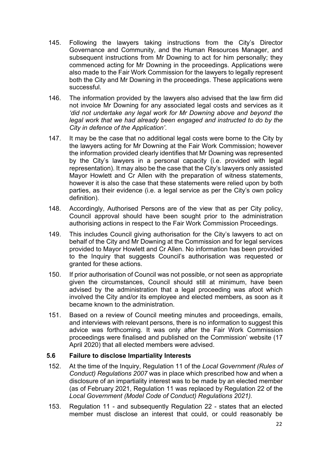- 145. Following the lawyers taking instructions from the City's Director Governance and Community, and the Human Resources Manager, and subsequent instructions from Mr Downing to act for him personally; they commenced acting for Mr Downing in the proceedings. Applications were also made to the Fair Work Commission for the lawyers to legally represent both the City and Mr Downing in the proceedings. These applications were successful.
- 146. The information provided by the lawyers also advised that the law firm did not invoice Mr Downing for any associated legal costs and services as it *'did not undertake any legal work for Mr Downing above and beyond the legal work that we had already been engaged and instructed to do by the City in defence of the Application'*.
- 147. It may be the case that no additional legal costs were borne to the City by the lawyers acting for Mr Downing at the Fair Work Commission; however the information provided clearly identifies that Mr Downing was represented by the City's lawyers in a personal capacity (i.e. provided with legal representation). It may also be the case that the City's lawyers only assisted Mayor Howlett and Cr Allen with the preparation of witness statements, however it is also the case that these statements were relied upon by both parties, as their evidence (i.e. a legal service as per the City's own policy definition).
- 148. Accordingly, Authorised Persons are of the view that as per City policy, Council approval should have been sought prior to the administration authorising actions in respect to the Fair Work Commission Proceedings.
- 149. This includes Council giving authorisation for the City's lawyers to act on behalf of the City and Mr Downing at the Commission and for legal services provided to Mayor Howlett and Cr Allen. No information has been provided to the Inquiry that suggests Council's authorisation was requested or granted for these actions.
- 150. If prior authorisation of Council was not possible, or not seen as appropriate given the circumstances, Council should still at minimum, have been advised by the administration that a legal proceeding was afoot which involved the City and/or its employee and elected members, as soon as it became known to the administration.
- 151. Based on a review of Council meeting minutes and proceedings, emails, and interviews with relevant persons, there is no information to suggest this advice was forthcoming. It was only after the Fair Work Commission proceedings were finalised and published on the Commission' website (17 April 2020) that all elected members were advised.

#### **5.6 Failure to disclose Impartiality Interests**

- 152. At the time of the Inquiry, Regulation 11 of the *Local Government (Rules of Conduct) Regulations 2007* was in place which prescribed how and when a disclosure of an impartiality interest was to be made by an elected member (as of February 2021, Regulation 11 was replaced by Regulation 22 of the *Local Government (Model Code of Conduct) Regulations 2021).*
- 153. Regulation 11 and subsequently Regulation 22 states that an elected member must disclose an interest that could, or could reasonably be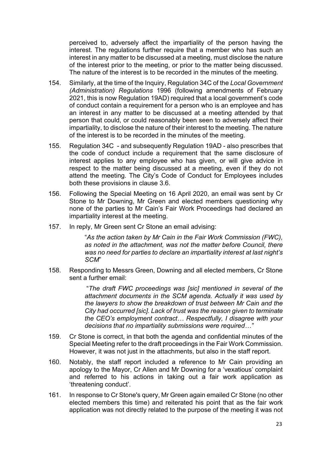perceived to, adversely affect the impartiality of the person having the interest. The regulations further require that a member who has such an interest in any matter to be discussed at a meeting, must disclose the nature of the interest prior to the meeting, or prior to the matter being discussed. The nature of the interest is to be recorded in the minutes of the meeting.

- 154. Similarly, at the time of the Inquiry, Regulation 34C of the *Local Government (Administration) Regulations* 1996 (following amendments of February 2021, this is now Regulation 19AD) required that a local government's code of conduct contain a requirement for a person who is an employee and has an interest in any matter to be discussed at a meeting attended by that person that could, or could reasonably been seen to adversely affect their impartiality, to disclose the nature of their interest to the meeting. The nature of the interest is to be recorded in the minutes of the meeting.
- 155. Regulation 34C and subsequently Regulation 19AD also prescribes that the code of conduct include a requirement that the same disclosure of interest applies to any employee who has given, or will give advice in respect to the matter being discussed at a meeting, even if they do not attend the meeting. The City's Code of Conduct for Employees includes both these provisions in clause 3.6.
- 156. Following the Special Meeting on 16 April 2020, an email was sent by Cr Stone to Mr Downing, Mr Green and elected members questioning why none of the parties to Mr Cain's Fair Work Proceedings had declared an impartiality interest at the meeting.
- 157. In reply, Mr Green sent Cr Stone an email advising:

"*As the action taken by Mr Cain in the Fair Work Commission (FWC), as noted in the attachment, was not the matter before Council, there was no need for parties to declare an impartiality interest at last night's SCM*"

158. Responding to Messrs Green, Downing and all elected members, Cr Stone sent a further email:

> "*The draft FWC proceedings was [sic] mentioned in several of the attachment documents in the SCM agenda. Actually it was used by the lawyers to show the breakdown of trust between Mr Cain and the City had occurred [sic]. Lack of trust was the reason given to terminate the CEO's employment contract… Respectfully, I disagree with your decisions that no impartiality submissions were required…"*

- 159. Cr Stone is correct, in that both the agenda and confidential minutes of the Special Meeting refer to the draft proceedings in the Fair Work Commission. However, it was not just in the attachments, but also in the staff report.
- 160. Notably, the staff report included a reference to Mr Cain providing an apology to the Mayor, Cr Allen and Mr Downing for a 'vexatious' complaint and referred to his actions in taking out a fair work application as 'threatening conduct'.
- 161. In response to Cr Stone's query, Mr Green again emailed Cr Stone (no other elected members this time) and reiterated his point that as the fair work application was not directly related to the purpose of the meeting it was not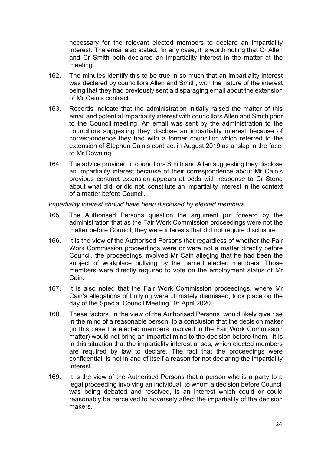necessary for the relevant elected members to declare an impartiality interest. The email also stated, "in any case, it is worth noting that Cr Allen and Cr Smith both declared an impartiality interest in the matter at the meeting".

- 162. The minutes identify this to be true in so much that an impartiality interest was declared by councillors Allen and Smith, with the nature of the interest being that they had previously sent a disparaging email about the extension of Mr Cain's contract.
- 163. Records indicate that the administration initially raised the matter of this email and potential impartiality interest with councillors Allen and Smith prior to the Council meeting. An email was sent by the administration to the councillors suggesting they disclose an impartiality interest because of correspondence they had with a former councillor which referred to the extension of Stephen Cain's contract in August 2019 as a 'slap in the face' to Mr Downing.
- 164. The advice provided to councillors Smith and Allen suggesting they disclose an impartiality interest because of their correspondence about Mr Cain's previous contract extension appears at odds with response to Cr Stone about what did, or did not, constitute an impartiality interest in the context of a matter before Council.

#### *Impartiality interest should have been disclosed by elected members*

- 165. The Authorised Persons question the argument put forward by the administration that as the Fair Work Commission proceedings were not the matter before Council, they were interests that did not require disclosure.
- 166. It is the view of the Authorised Persons that regardless of whether the Fair Work Commission proceedings were or were not a matter directly before Council, the proceedings involved Mr Cain alleging that he had been the subject of workplace bullying by the named elected members. Those members were directly required to vote on the employment status of Mr Cain.
- 167. It is also noted that the Fair Work Commission proceedings, where Mr Cain's allegations of bullying were ultimately dismissed, took place on the day of the Special Council Meeting, 16 April 2020.
- 168. These factors, in the view of the Authorised Persons, would likely give rise in the mind of a reasonable person, to a conclusion that the decision maker (in this case the elected members involved in the Fair Work Commission matter) would not bring an impartial mind to the decision before them. It is in this situation that the impartiality interest arises, which elected members are required by law to declare. The fact that the proceedings were confidential, is not in and of itself a reason for not declaring the impartiality interest.
- 169. It is the view of the Authorised Persons that a person who is a party to a legal proceeding involving an individual, to whom a decision before Council was being debated and resolved, is an interest which could or could reasonably be perceived to adversely affect the impartiality of the decision makers.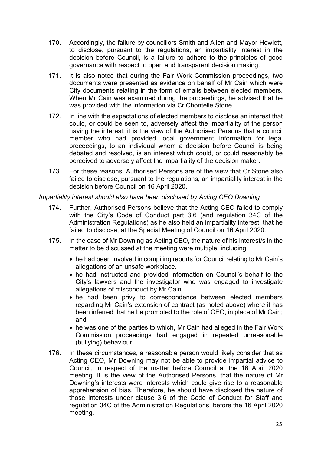- 170. Accordingly, the failure by councillors Smith and Allen and Mayor Howlett, to disclose, pursuant to the regulations, an impartiality interest in the decision before Council, is a failure to adhere to the principles of good governance with respect to open and transparent decision making.
- 171. It is also noted that during the Fair Work Commission proceedings, two documents were presented as evidence on behalf of Mr Cain which were City documents relating in the form of emails between elected members. When Mr Cain was examined during the proceedings, he advised that he was provided with the information via Cr Chontelle Stone.
- 172. In line with the expectations of elected members to disclose an interest that could, or could be seen to, adversely affect the impartiality of the person having the interest, it is the view of the Authorised Persons that a council member who had provided local government information for legal proceedings, to an individual whom a decision before Council is being debated and resolved, is an interest which could, or could reasonably be perceived to adversely affect the impartiality of the decision maker.
- 173. For these reasons, Authorised Persons are of the view that Cr Stone also failed to disclose, pursuant to the regulations, an impartiality interest in the decision before Council on 16 April 2020.

#### *Impartiality interest should also have been disclosed by Acting CEO Downing*

- 174. Further, Authorised Persons believe that the Acting CEO failed to comply with the City's Code of Conduct part 3.6 (and regulation 34C of the Administration Regulations) as he also held an impartiality interest, that he failed to disclose, at the Special Meeting of Council on 16 April 2020.
- 175. In the case of Mr Downing as Acting CEO, the nature of his interest/s in the matter to be discussed at the meeting were multiple, including:
	- he had been involved in compiling reports for Council relating to Mr Cain's allegations of an unsafe workplace.
	- he had instructed and provided information on Council's behalf to the City's lawyers and the investigator who was engaged to investigate allegations of misconduct by Mr Cain.
	- he had been privy to correspondence between elected members regarding Mr Cain's extension of contract (as noted above) where it has been inferred that he be promoted to the role of CEO, in place of Mr Cain; and
	- he was one of the parties to which, Mr Cain had alleged in the Fair Work Commission proceedings had engaged in repeated unreasonable (bullying) behaviour.
- 176. In these circumstances, a reasonable person would likely consider that as Acting CEO, Mr Downing may not be able to provide impartial advice to Council, in respect of the matter before Council at the 16 April 2020 meeting. It is the view of the Authorised Persons, that the nature of Mr Downing's interests were interests which could give rise to a reasonable apprehension of bias. Therefore, he should have disclosed the nature of those interests under clause 3.6 of the Code of Conduct for Staff and regulation 34C of the Administration Regulations, before the 16 April 2020 meeting.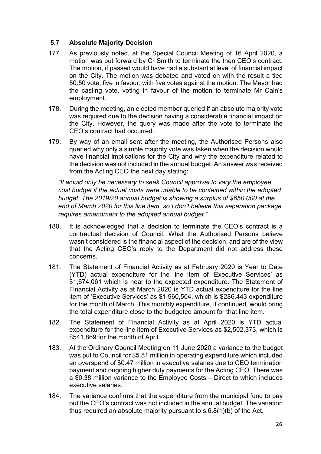## **5.7 Absolute Majority Decision**

- 177. As previously noted, at the Special Council Meeting of 16 April 2020, a motion was put forward by Cr Smith to terminate the then CEO's contract. The motion, if passed would have had a substantial level of financial impact on the City. The motion was debated and voted on with the result a tied 50:50 vote; five in favour, with five votes against the motion. The Mayor had the casting vote, voting in favour of the motion to terminate Mr Cain's employment.
- 178. During the meeting, an elected member queried if an absolute majority vote was required due to the decision having a considerable financial impact on the City. However, the query was made after the vote to terminate the CEO's contract had occurred.
- 179. By way of an email sent after the meeting, the Authorised Persons also queried why only a simple majority vote was taken when the decision would have financial implications for the City and why the expenditure related to the decision was not included in the annual budget. An answer was received from the Acting CEO the next day stating:

*"It would only be necessary to seek Council approval to vary the employee cost budget if the actual costs were unable to be contained within the adopted budget. The 2019/20 annual budget is showing a surplus of \$650 000 at the end of March 2020 for this line item, so I don't believe this separation package requires amendment to the adopted annual budget."*

- 180. It is acknowledged that a decision to terminate the CEO's contract is a contractual decision of Council. What the Authorised Persons believe wasn't considered is the financial aspect of the decision; and are of the view that the Acting CEO's reply to the Department did not address these concerns.
- 181. The Statement of Financial Activity as at February 2020 is Year to Date (YTD) actual expenditure for the line item of 'Executive Services' as \$1,674,061 which is near to the expected expenditure. The Statement of Financial Activity as at March 2020 is YTD actual expenditure for the line item of 'Executive Services' as \$1,960,504, which is \$286,443 expenditure for the month of March. This monthly expenditure, if continued, would bring the total expenditure close to the budgeted amount for that line item.
- 182. The Statement of Financial Activity as at April 2020 is YTD actual expenditure for the line item of Executive Services as \$2,502,373, which is \$541,869 for the month of April.
- 183. At the Ordinary Council Meeting on 11 June 2020 a variance to the budget was put to Council for \$5.81 million in operating expenditure which included an overspend of \$0.47 million in executive salaries due to CEO termination payment and ongoing higher duty payments for the Acting CEO. There was a \$0.38 million variance to the Employee Costs – Direct to which includes executive salaries.
- 184. The variance confirms that the expenditure from the municipal fund to pay out the CEO's contract was not included in the annual budget. The variation thus required an absolute majority pursuant to s.6.8(1)(b) of the Act.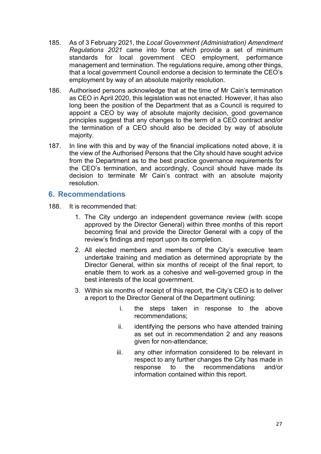- 185. As of 3 February 2021, the *Local Government (Administration) Amendment Regulations 2021* came into force which provide a set of minimum standards for local government CEO employment, performance management and termination. The regulations require, among other things, that a local government Council endorse a decision to terminate the CEO's employment by way of an absolute majority resolution.
- 186. Authorised persons acknowledge that at the time of Mr Cain's termination as CEO in April 2020, this legislation was not enacted. However, it has also long been the position of the Department that as a Council is required to appoint a CEO by way of absolute majority decision, good governance principles suggest that any changes to the term of a CEO contract and/or the termination of a CEO should also be decided by way of absolute majority.
- 187. In line with this and by way of the financial implications noted above, it is the view of the Authorised Persons that the City should have sought advice from the Department as to the best practice governance requirements for the CEO's termination, and accordingly, Council should have made its decision to terminate Mr Cain's contract with an absolute majority resolution.

# <span id="page-29-0"></span>**6. Recommendations**

- 188. It is recommended that:
	- 1. The City undergo an independent governance review (with scope approved by the Director General) within three months of this report becoming final and provide the Director General with a copy of the review's findings and report upon its completion.
	- 2. All elected members and members of the City's executive team undertake training and mediation as determined appropriate by the Director General, within six months of receipt of the final report, to enable them to work as a cohesive and well-governed group in the best interests of the local government.
	- 3. Within six months of receipt of this report, the City's CEO is to deliver a report to the Director General of the Department outlining:
		- i. the steps taken in response to the above recommendations;
		- ii. identifying the persons who have attended training as set out in recommendation 2 and any reasons given for non-attendance;
		- iii. any other information considered to be relevant in respect to any further changes the City has made in response to the recommendations and/or information contained within this report.